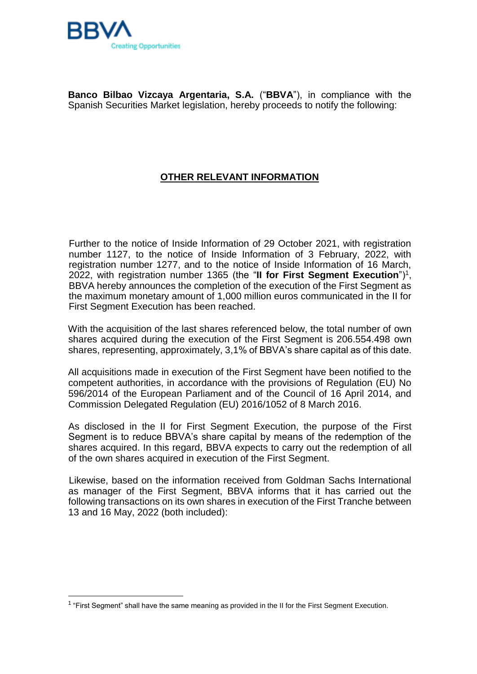

**Banco Bilbao Vizcaya Argentaria, S.A.** ("**BBVA**"), in compliance with the Spanish Securities Market legislation, hereby proceeds to notify the following:

## **OTHER RELEVANT INFORMATION**

Further to the notice of Inside Information of 29 October 2021, with registration number 1127, to the notice of Inside Information of 3 February, 2022, with registration number 1277, and to the notice of Inside Information of 16 March, 2022, with registration number 1365 (the "**II for First Segment Execution**")<sup>1</sup> , BBVA hereby announces the completion of the execution of the First Segment as the maximum monetary amount of 1,000 million euros communicated in the II for First Segment Execution has been reached.

With the acquisition of the last shares referenced below, the total number of own shares acquired during the execution of the First Segment is 206.554.498 own shares, representing, approximately, 3,1% of BBVA's share capital as of this date.

All acquisitions made in execution of the First Segment have been notified to the competent authorities, in accordance with the provisions of Regulation (EU) No 596/2014 of the European Parliament and of the Council of 16 April 2014, and Commission Delegated Regulation (EU) 2016/1052 of 8 March 2016.

As disclosed in the II for First Segment Execution, the purpose of the First Segment is to reduce BBVA's share capital by means of the redemption of the shares acquired. In this regard, BBVA expects to carry out the redemption of all of the own shares acquired in execution of the First Segment.

Likewise, based on the information received from Goldman Sachs International as manager of the First Segment, BBVA informs that it has carried out the following transactions on its own shares in execution of the First Tranche between 13 and 16 May, 2022 (both included):

 $1$  "First Segment" shall have the same meaning as provided in the II for the First Segment Execution.